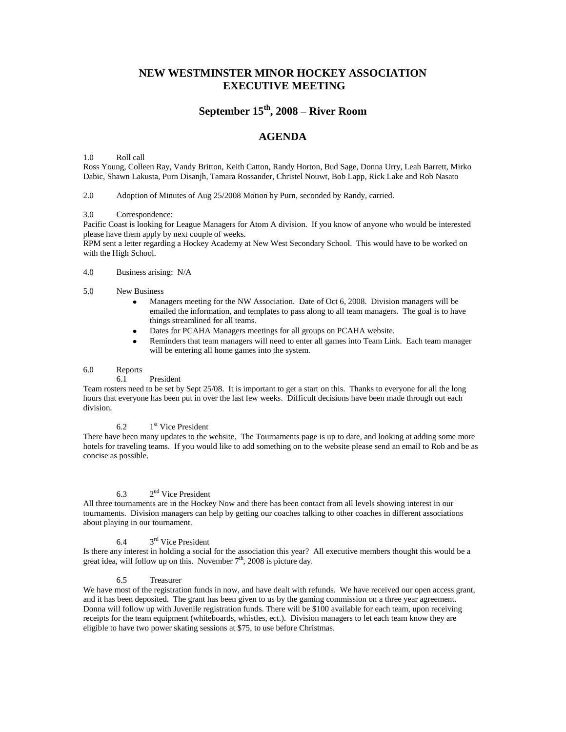## **NEW WESTMINSTER MINOR HOCKEY ASSOCIATION EXECUTIVE MEETING**

# **September 15th, 2008 – River Room**

# **AGENDA**

1.0 Roll call

Ross Young, Colleen Ray, Vandy Britton, Keith Catton, Randy Horton, Bud Sage, Donna Urry, Leah Barrett, Mirko Dabic, Shawn Lakusta, Purn Disanjh, Tamara Rossander, Christel Nouwt, Bob Lapp, Rick Lake and Rob Nasato

2.0 Adoption of Minutes of Aug 25/2008 Motion by Purn, seconded by Randy, carried.

### 3.0 Correspondence:

Pacific Coast is looking for League Managers for Atom A division. If you know of anyone who would be interested please have them apply by next couple of weeks.

RPM sent a letter regarding a Hockey Academy at New West Secondary School. This would have to be worked on with the High School.

### 4.0 Business arising: N/A

- 5.0 New Business
	- Managers meeting for the NW Association. Date of Oct 6, 2008. Division managers will be  $\bullet$ emailed the information, and templates to pass along to all team managers. The goal is to have things streamlined for all teams.
	- Dates for PCAHA Managers meetings for all groups on PCAHA website.
	- Reminders that team managers will need to enter all games into Team Link. Each team manager will be entering all home games into the system.

### 6.0 Reports

6.1 President

Team rosters need to be set by Sept 25/08. It is important to get a start on this. Thanks to everyone for all the long hours that everyone has been put in over the last few weeks. Difficult decisions have been made through out each division.

#### 6.2 1<sup>st</sup> Vice President

There have been many updates to the website. The Tournaments page is up to date, and looking at adding some more hotels for traveling teams. If you would like to add something on to the website please send an email to Rob and be as concise as possible.

#### 6.3 2<sup>nd</sup> Vice President

All three tournaments are in the Hockey Now and there has been contact from all levels showing interest in our tournaments. Division managers can help by getting our coaches talking to other coaches in different associations about playing in our tournament.

#### 6.4 3<sup>rd</sup> Vice President

Is there any interest in holding a social for the association this year? All executive members thought this would be a great idea, will follow up on this. November  $7<sup>th</sup>$ , 2008 is picture day.

### 6.5 Treasurer

We have most of the registration funds in now, and have dealt with refunds. We have received our open access grant, and it has been deposited. The grant has been given to us by the gaming commission on a three year agreement. Donna will follow up with Juvenile registration funds. There will be \$100 available for each team, upon receiving receipts for the team equipment (whiteboards, whistles, ect.). Division managers to let each team know they are eligible to have two power skating sessions at \$75, to use before Christmas.